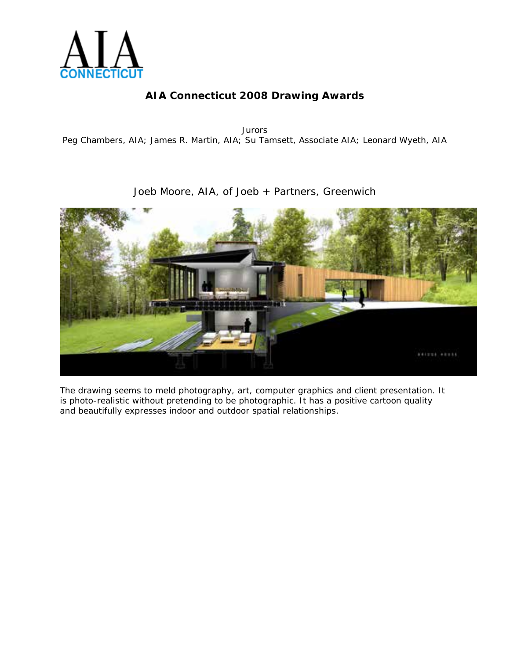

*Jurors* Peg Chambers, AIA; James R. Martin, AIA; Su Tamsett, Associate AIA; Leonard Wyeth, AIA

### Joeb Moore, AIA, of Joeb + Partners, Greenwich



*The drawing seems to meld photography, art, computer graphics and client presentation. It is photo-realistic without pretending to be photographic. It has a positive cartoon quality and beautifully expresses indoor and outdoor spatial relationships*.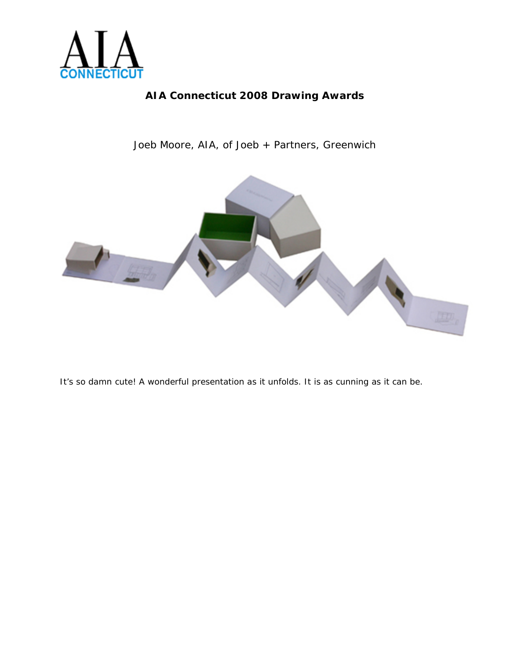

Joeb Moore, AIA, of Joeb + Partners, Greenwich



*It's so damn cute! A wonderful presentation as it unfolds. It is as cunning as it can be*.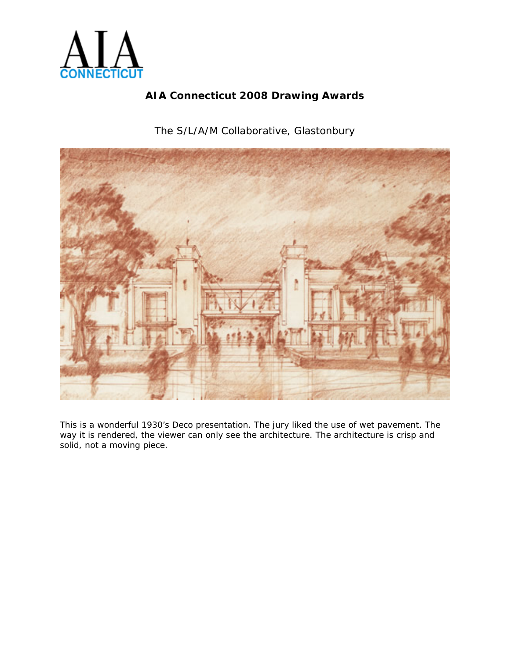

The S/L/A/M Collaborative, Glastonbury



*This is a wonderful 1930's Deco presentation. The jury liked the use of wet pavement. The way it is rendered, the viewer can only see the architecture. The architecture is crisp and solid, not a moving piece.*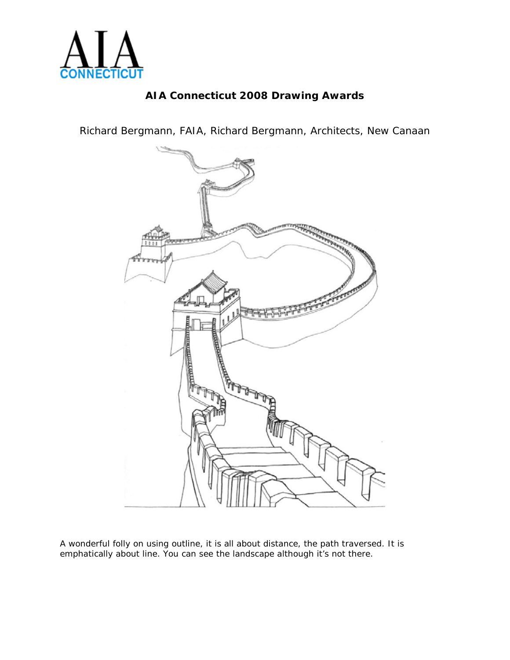

Richard Bergmann, FAIA, Richard Bergmann, Architects, New Canaan



A wonderful folly on using outline, it is all about distance, the path traversed. It is emphatically about line. You can see the landscape although it's not there.